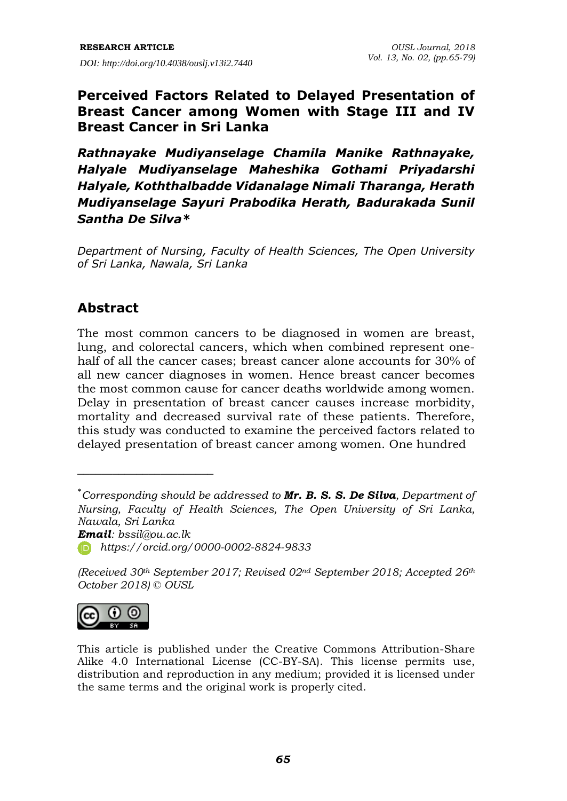### **Perceived Factors Related to Delayed Presentation of Breast Cancer among Women with Stage III and IV Breast Cancer in Sri Lanka**

*Rathnayake Mudiyanselage Chamila Manike Rathnayake, Halyale Mudiyanselage Maheshika Gothami Priyadarshi Halyale, Koththalbadde Vidanalage Nimali Tharanga, Herath Mudiyanselage Sayuri Prabodika Herath, Badurakada Sunil Santha De Silva\**

*Department of Nursing, Faculty of Health Sciences, The Open University of Sri Lanka, Nawala, Sri Lanka*

### **Abstract**

The most common cancers to be diagnosed in women are breast, lung, and colorectal cancers, which when combined represent onehalf of all the cancer cases; breast cancer alone accounts for 30% of all new cancer diagnoses in women. Hence breast cancer becomes the most common cause for cancer deaths worldwide among women. Delay in presentation of breast cancer causes increase morbidity, mortality and decreased survival rate of these patients. Therefore, this study was conducted to examine the perceived factors related to delayed presentation of breast cancer among women. One hundred

*Email: bssil@ou.ac.lk*

\_\_\_\_\_\_\_\_\_\_\_\_\_\_\_\_\_\_\_\_\_\_\_

*https://orcid.org/0000-0002-8824-9833*

*<sup>(</sup>Received 30th September 2017; Revised 02nd September 2018; Accepted 26th October 2018) © OUSL*



This article is published under the Creative Commons Attribution-Share Alike 4.0 International License (CC-BY-SA). This license permits use, distribution and reproduction in any medium; provided it is licensed under the same terms and the original work is properly cited.

<sup>\*</sup>*Corresponding should be addressed to Mr. B. S. S. De Silva, Department of Nursing, Faculty of Health Sciences, The Open University of Sri Lanka, Nawala, Sri Lanka*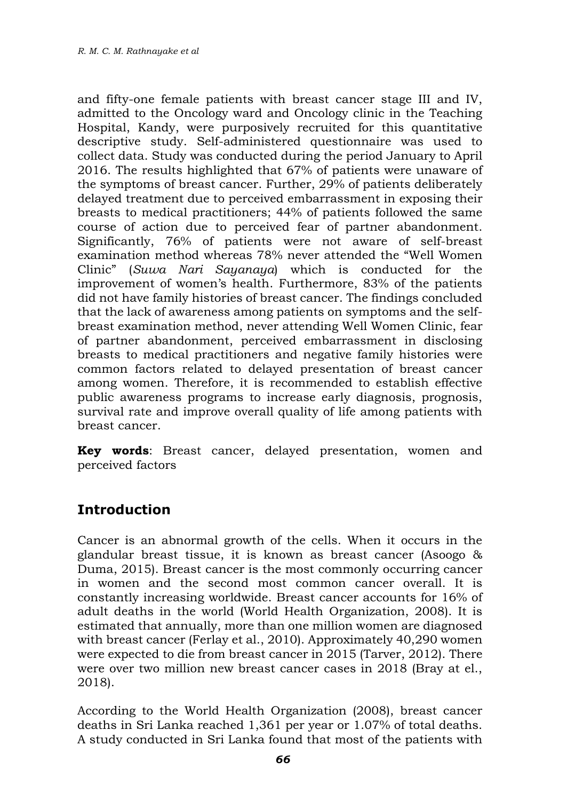and fifty-one female patients with breast cancer stage III and IV, admitted to the Oncology ward and Oncology clinic in the Teaching Hospital, Kandy, were purposively recruited for this quantitative descriptive study. Self-administered questionnaire was used to collect data. Study was conducted during the period January to April 2016. The results highlighted that 67% of patients were unaware of the symptoms of breast cancer. Further, 29% of patients deliberately delayed treatment due to perceived embarrassment in exposing their breasts to medical practitioners; 44% of patients followed the same course of action due to perceived fear of partner abandonment. Significantly, 76% of patients were not aware of self-breast examination method whereas 78% never attended the "Well Women Clinic" (*Suwa Nari Sayanaya*) which is conducted for the improvement of women's health. Furthermore, 83% of the patients did not have family histories of breast cancer. The findings concluded that the lack of awareness among patients on symptoms and the selfbreast examination method, never attending Well Women Clinic, fear of partner abandonment, perceived embarrassment in disclosing breasts to medical practitioners and negative family histories were common factors related to delayed presentation of breast cancer among women. Therefore, it is recommended to establish effective public awareness programs to increase early diagnosis, prognosis, survival rate and improve overall quality of life among patients with breast cancer.

**Key words**: Breast cancer, delayed presentation, women and perceived factors

### **Introduction**

Cancer is an abnormal growth of the cells. When it occurs in the glandular breast tissue, it is known as breast cancer (Asoogo & Duma, 2015). Breast cancer is the most commonly occurring cancer in women and the second most common cancer overall. It is constantly increasing worldwide. Breast cancer accounts for 16% of adult deaths in the world (World Health Organization, 2008). It is estimated that annually, more than one million women are diagnosed with breast cancer (Ferlay et al., 2010). Approximately 40,290 women were expected to die from breast cancer in 2015 (Tarver, 2012). There were over two million new breast cancer cases in 2018 (Bray at el., 2018).

According to the World Health Organization (2008), breast cancer deaths in Sri Lanka reached 1,361 per year or 1.07% of total deaths. A study conducted in Sri Lanka found that most of the patients with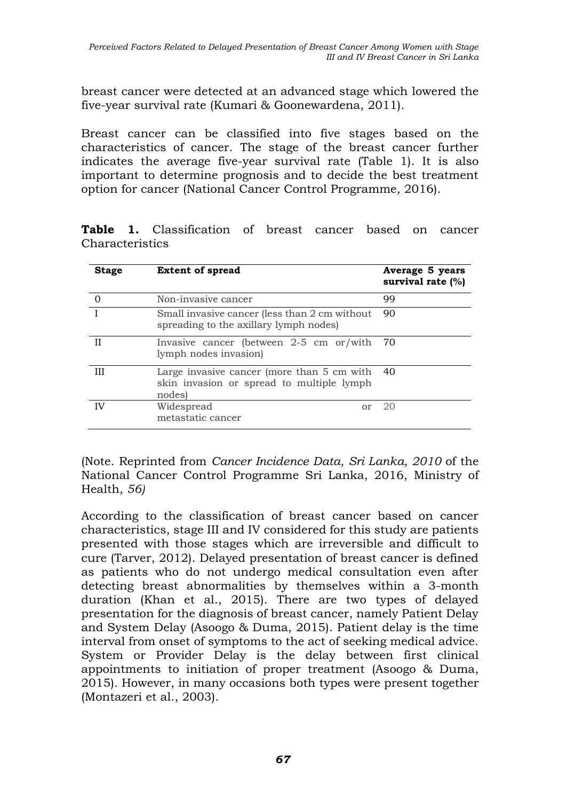breast cancer were detected at an advanced stage which lowered the five-year survival rate (Kumari & Goonewardena, 2011).

Breast cancer can be classified into five stages based on the characteristics of cancer. The stage of the breast cancer further indicates the average five-year survival rate (Table 1). It is also important to determine prognosis and to decide the best treatment option for cancer (National Cancer Control Programme*,* 2016).

**Table 1.** Classification of breast cancer based on cancer Characteristics

| <b>Stage</b> | <b>Extent of spread</b>                                                                           | Average 5 years<br>survival rate $(\%)$ |
|--------------|---------------------------------------------------------------------------------------------------|-----------------------------------------|
|              | Non-invasive cancer                                                                               | 99                                      |
|              | Small invasive cancer (less than 2 cm without<br>spreading to the axillary lymph nodes)           | 90                                      |
| Н            | Invasive cancer (between $2-5$ cm or/with 70<br>lymph nodes invasion)                             |                                         |
| Ш            | Large invasive cancer (more than 5 cm with<br>skin invasion or spread to multiple lymph<br>nodes) | - 40                                    |
| IV           | Widespread<br>or<br>metastatic cancer                                                             | 20                                      |

(Note. Reprinted from *Cancer Incidence Data, Sri Lanka, 2010* of the National Cancer Control Programme Sri Lanka, 2016, Ministry of Health*, 56)*

According to the classification of breast cancer based on cancer characteristics, stage III and IV considered for this study are patients presented with those stages which are irreversible and difficult to cure (Tarver, 2012). Delayed presentation of breast cancer is defined as patients who do not undergo medical consultation even after detecting breast abnormalities by themselves within a 3-month duration (Khan et al., 2015). There are two types of delayed presentation for the diagnosis of breast cancer, namely Patient Delay and System Delay (Asoogo & Duma, 2015). Patient delay is the time interval from onset of symptoms to the act of seeking medical advice. System or Provider Delay is the delay between first clinical appointments to initiation of proper treatment (Asoogo & Duma, 2015). However, in many occasions both types were present together (Montazeri et al., 2003).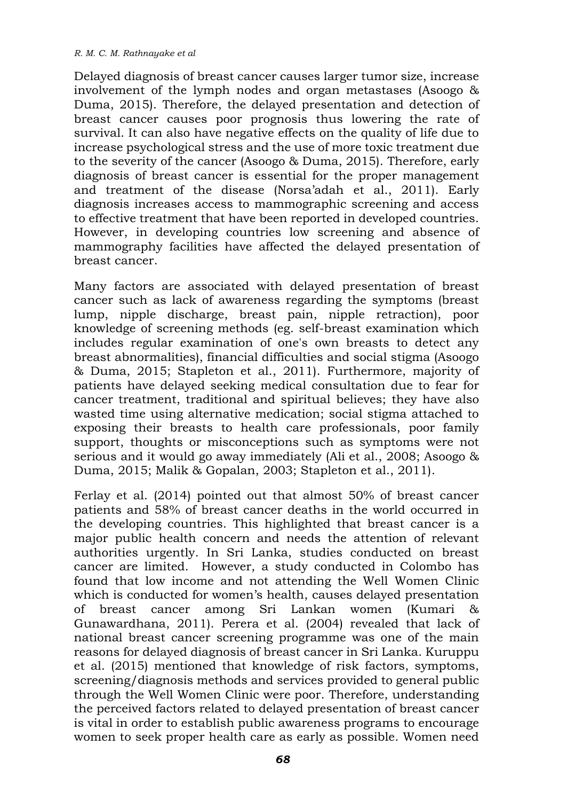Delayed diagnosis of breast cancer causes larger tumor size, increase involvement of the lymph nodes and organ metastases (Asoogo & Duma, 2015). Therefore, the delayed presentation and detection of breast cancer causes poor prognosis thus lowering the rate of survival. It can also have negative effects on the quality of life due to increase psychological stress and the use of more toxic treatment due to the severity of the cancer (Asoogo & Duma, 2015). Therefore, early diagnosis of breast cancer is essential for the proper management and treatment of the disease (Norsa'adah et al., 2011). Early diagnosis increases access to mammographic screening and access to effective treatment that have been reported in developed countries. However, in developing countries low screening and absence of mammography facilities have affected the delayed presentation of breast cancer.

Many factors are associated with delayed presentation of breast cancer such as lack of awareness regarding the symptoms (breast lump, nipple discharge, breast pain, nipple retraction), poor knowledge of screening methods (eg. self-breast examination which includes regular examination of one's own breasts to detect any breast abnormalities), financial difficulties and social stigma (Asoogo & Duma, 2015; Stapleton et al., 2011). Furthermore, majority of patients have delayed seeking medical consultation due to fear for cancer treatment, traditional and spiritual believes; they have also wasted time using alternative medication; social stigma attached to exposing their breasts to health care professionals, poor family support, thoughts or misconceptions such as symptoms were not serious and it would go away immediately (Ali et al., 2008; Asoogo & Duma, 2015; Malik & Gopalan, 2003; Stapleton et al., 2011).

Ferlay et al. (2014) pointed out that almost 50% of breast cancer patients and 58% of breast cancer deaths in the world occurred in the developing countries. This highlighted that breast cancer is a major public health concern and needs the attention of relevant authorities urgently. In Sri Lanka, studies conducted on breast cancer are limited. However, a study conducted in Colombo has found that low income and not attending the Well Women Clinic which is conducted for women's health, causes delayed presentation of breast cancer among Sri Lankan women (Kumari & Gunawardhana, 2011). Perera et al. (2004) revealed that lack of national breast cancer screening programme was one of the main reasons for delayed diagnosis of breast cancer in Sri Lanka. Kuruppu et al. (2015) mentioned that knowledge of risk factors, symptoms, screening/diagnosis methods and services provided to general public through the Well Women Clinic were poor. Therefore, understanding the perceived factors related to delayed presentation of breast cancer is vital in order to establish public awareness programs to encourage women to seek proper health care as early as possible. Women need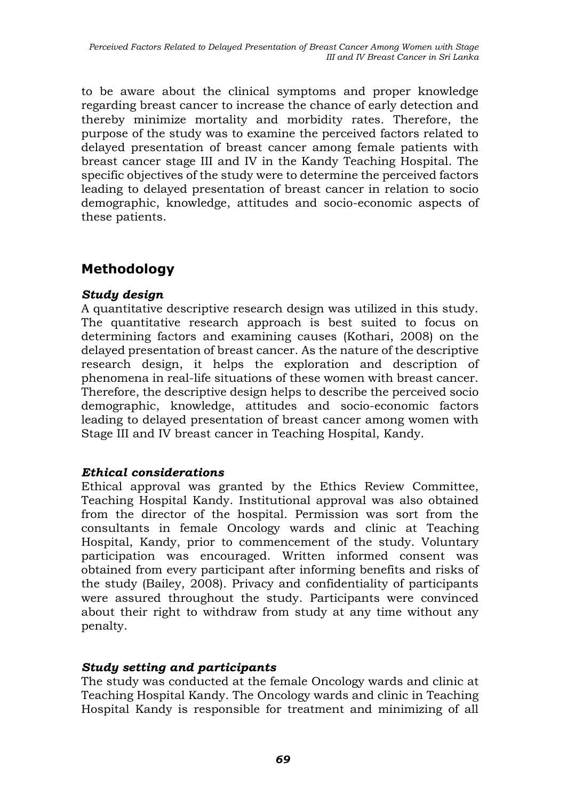to be aware about the clinical symptoms and proper knowledge regarding breast cancer to increase the chance of early detection and thereby minimize mortality and morbidity rates. Therefore, the purpose of the study was to examine the perceived factors related to delayed presentation of breast cancer among female patients with breast cancer stage III and IV in the Kandy Teaching Hospital. The specific objectives of the study were to determine the perceived factors leading to delayed presentation of breast cancer in relation to socio demographic, knowledge, attitudes and socio-economic aspects of these patients.

## **Methodology**

#### *Study design*

A quantitative descriptive research design was utilized in this study. The quantitative research approach is best suited to focus on determining factors and examining causes (Kothari, 2008) on the delayed presentation of breast cancer. As the nature of the descriptive research design, it helps the exploration and description of phenomena in real-life situations of these women with breast cancer. Therefore, the descriptive design helps to describe the perceived socio demographic, knowledge, attitudes and socio-economic factors leading to delayed presentation of breast cancer among women with Stage III and IV breast cancer in Teaching Hospital, Kandy.

#### *Ethical considerations*

Ethical approval was granted by the Ethics Review Committee, Teaching Hospital Kandy. Institutional approval was also obtained from the director of the hospital. Permission was sort from the consultants in female Oncology wards and clinic at Teaching Hospital, Kandy, prior to commencement of the study. Voluntary participation was encouraged. Written informed consent was obtained from every participant after informing benefits and risks of the study (Bailey, 2008). Privacy and confidentiality of participants were assured throughout the study. Participants were convinced about their right to withdraw from study at any time without any penalty.

#### *Study setting and participants*

The study was conducted at the female Oncology wards and clinic at Teaching Hospital Kandy. The Oncology wards and clinic in Teaching Hospital Kandy is responsible for treatment and minimizing of all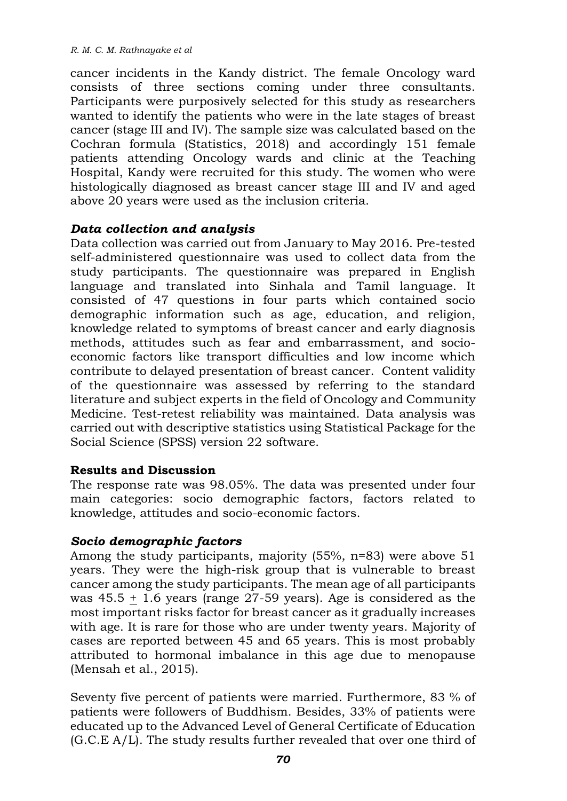cancer incidents in the Kandy district. The female Oncology ward consists of three sections coming under three consultants. Participants were purposively selected for this study as researchers wanted to identify the patients who were in the late stages of breast cancer (stage III and IV). The sample size was calculated based on the Cochran formula (Statistics, 2018) and accordingly 151 female patients attending Oncology wards and clinic at the Teaching Hospital, Kandy were recruited for this study. The women who were histologically diagnosed as breast cancer stage III and IV and aged above 20 years were used as the inclusion criteria.

#### *Data collection and analysis*

Data collection was carried out from January to May 2016. Pre-tested self-administered questionnaire was used to collect data from the study participants. The questionnaire was prepared in English language and translated into Sinhala and Tamil language. It consisted of 47 questions in four parts which contained socio demographic information such as age, education, and religion, knowledge related to symptoms of breast cancer and early diagnosis methods, attitudes such as fear and embarrassment, and socioeconomic factors like transport difficulties and low income which contribute to delayed presentation of breast cancer. Content validity of the questionnaire was assessed by referring to the standard literature and subject experts in the field of Oncology and Community Medicine. Test-retest reliability was maintained. Data analysis was carried out with descriptive statistics using Statistical Package for the Social Science (SPSS) version 22 software.

#### **Results and Discussion**

The response rate was 98.05%. The data was presented under four main categories: socio demographic factors, factors related to knowledge, attitudes and socio-economic factors.

#### *Socio demographic factors*

Among the study participants, majority (55%, n=83) were above 51 years. They were the high-risk group that is vulnerable to breast cancer among the study participants. The mean age of all participants was  $45.5 \pm 1.6$  years (range 27-59 years). Age is considered as the most important risks factor for breast cancer as it gradually increases with age. It is rare for those who are under twenty years. Majority of cases are reported between 45 and 65 years. This is most probably attributed to hormonal imbalance in this age due to menopause (Mensah et al., 2015).

Seventy five percent of patients were married. Furthermore, 83 % of patients were followers of Buddhism. Besides, 33% of patients were educated up to the Advanced Level of General Certificate of Education (G.C.E A/L). The study results further revealed that over one third of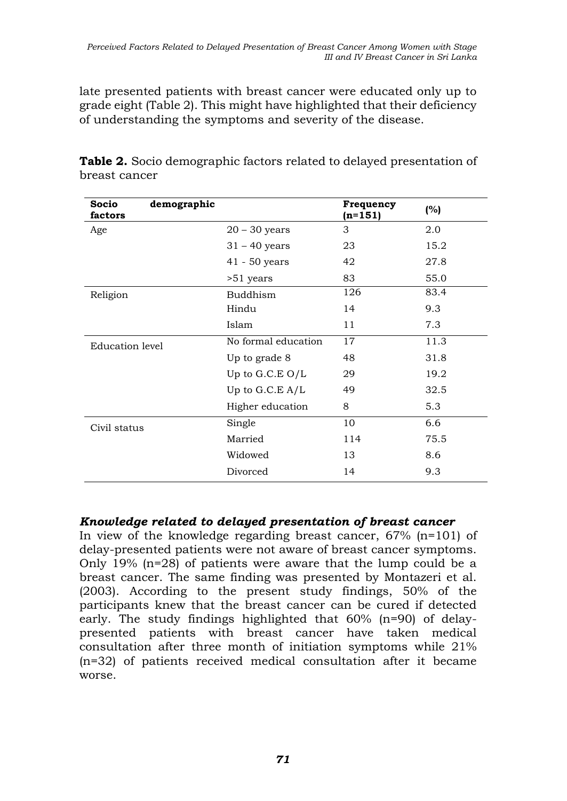late presented patients with breast cancer were educated only up to grade eight (Table 2). This might have highlighted that their deficiency of understanding the symptoms and severity of the disease.

| Socio<br>demographic<br>factors |                     | Frequency<br>(n=151) | (%)  |
|---------------------------------|---------------------|----------------------|------|
| Age                             | $20 - 30$ years     | 3                    | 2.0  |
|                                 | $31 - 40$ years     | 23                   | 15.2 |
|                                 | $41 - 50$ years     | 42                   | 27.8 |
|                                 | >51 years           | 83                   | 55.0 |
| Religion                        | Buddhism            | 126                  | 83.4 |
|                                 | Hindu               | 14                   | 9.3  |
|                                 | Islam               | 11                   | 7.3  |
| Education level                 | No formal education | 17                   | 11.3 |
|                                 | Up to grade 8       | 48                   | 31.8 |
|                                 | Up to $G.C.E O/L$   | 29                   | 19.2 |
|                                 | Up to $G.C.E A/L$   | 49                   | 32.5 |
|                                 | Higher education    | 8                    | 5.3  |
| Civil status                    | Single              | 10                   | 6.6  |
|                                 | Married             | 114                  | 75.5 |
|                                 | Widowed             | 13                   | 8.6  |
|                                 | Divorced            | 14                   | 9.3  |

**Table 2.** Socio demographic factors related to delayed presentation of breast cancer

### *Knowledge related to delayed presentation of breast cancer*

In view of the knowledge regarding breast cancer, 67% (n=101) of delay-presented patients were not aware of breast cancer symptoms. Only 19% (n=28) of patients were aware that the lump could be a breast cancer. The same finding was presented by Montazeri et al. (2003). According to the present study findings, 50% of the participants knew that the breast cancer can be cured if detected early. The study findings highlighted that 60% (n=90) of delaypresented patients with breast cancer have taken medical consultation after three month of initiation symptoms while 21% (n=32) of patients received medical consultation after it became worse.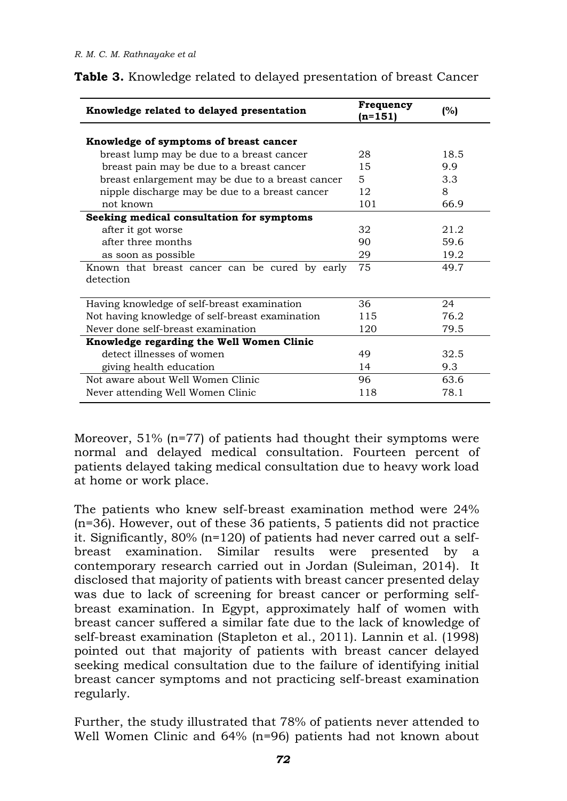| Knowledge related to delayed presentation        | Frequency<br>(n=151) | (%)  |
|--------------------------------------------------|----------------------|------|
| Knowledge of symptoms of breast cancer           |                      |      |
| breast lump may be due to a breast cancer        | 28                   | 18.5 |
| breast pain may be due to a breast cancer        | 15                   | 9.9  |
| breast enlargement may be due to a breast cancer | 5                    | 3.3  |
| nipple discharge may be due to a breast cancer   | 12                   | 8    |
| not known                                        | 101                  | 66.9 |
| Seeking medical consultation for symptoms        |                      |      |
| after it got worse                               | 32                   | 21.2 |
| after three months                               | 90                   | 59.6 |
| as soon as possible                              | 29                   | 19.2 |
| Known that breast cancer can be cured by early   | 75                   | 49.7 |
| detection                                        |                      |      |
| Having knowledge of self-breast examination      | 36                   | 24   |
| Not having knowledge of self-breast examination  | 115                  | 76.2 |
| Never done self-breast examination               | 120                  | 79.5 |
| Knowledge regarding the Well Women Clinic        |                      |      |
| detect illnesses of women                        | 49                   | 32.5 |
| giving health education                          | 14                   | 9.3  |
| Not aware about Well Women Clinic                | 96                   | 63.6 |
| Never attending Well Women Clinic                | 118                  | 78.1 |

**Table 3.** Knowledge related to delayed presentation of breast Cancer

Moreover, 51% (n=77) of patients had thought their symptoms were normal and delayed medical consultation. Fourteen percent of patients delayed taking medical consultation due to heavy work load at home or work place.

The patients who knew self-breast examination method were 24%  $(n=36)$ . However, out of these 36 patients, 5 patients did not practice it. Significantly, 80% (n=120) of patients had never carred out a selfbreast examination. Similar results were presented by a contemporary research carried out in Jordan (Suleiman, 2014). It disclosed that majority of patients with breast cancer presented delay was due to lack of screening for breast cancer or performing selfbreast examination. In Egypt, approximately half of women with breast cancer suffered a similar fate due to the lack of knowledge of self-breast examination (Stapleton et al., 2011). Lannin et al. (1998) pointed out that majority of patients with breast cancer delayed seeking medical consultation due to the failure of identifying initial breast cancer symptoms and not practicing self-breast examination regularly.

Further, the study illustrated that 78% of patients never attended to Well Women Clinic and 64% (n=96) patients had not known about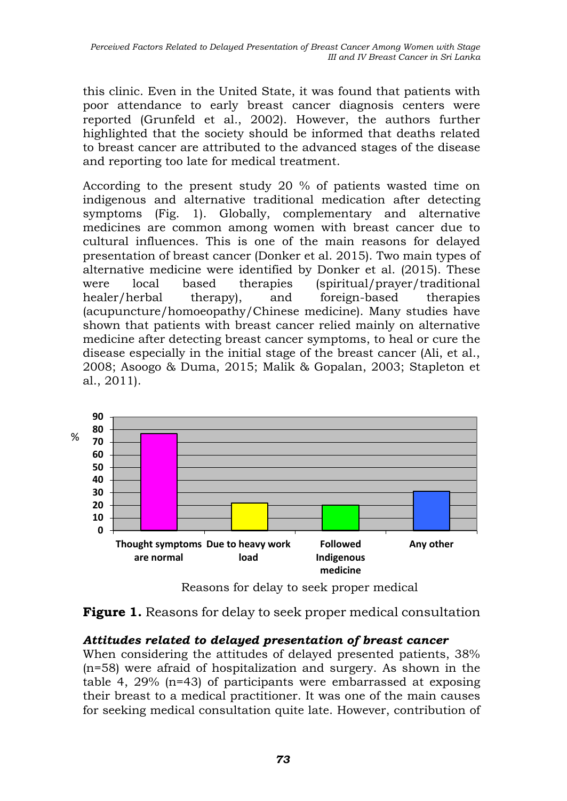this clinic. Even in the United State, it was found that patients with poor attendance to early breast cancer diagnosis centers were reported (Grunfeld et al*.*, 2002). However, the authors further highlighted that the society should be informed that deaths related to breast cancer are attributed to the advanced stages of the disease and reporting too late for medical treatment.

According to the present study 20 % of patients wasted time on indigenous and alternative traditional medication after detecting symptoms (Fig. 1). Globally, complementary and alternative medicines are common among women with breast cancer due to cultural influences. This is one of the main reasons for delayed presentation of breast cancer (Donker et al. 2015). Two main types of alternative medicine were identified by Donker et al. (2015). These were local based therapies (spiritual/prayer/traditional healer/herbal therapy), and foreign-based therapies (acupuncture/homoeopathy/Chinese medicine). Many studies have shown that patients with breast cancer relied mainly on alternative medicine after detecting breast cancer symptoms, to heal or cure the disease especially in the initial stage of the breast cancer (Ali, et al., 2008; Asoogo & Duma, 2015; Malik & Gopalan, 2003; Stapleton et al., 2011).





### *Attitudes related to delayed presentation of breast cancer*

When considering the attitudes of delayed presented patients, 38% (n=58) were afraid of hospitalization and surgery. As shown in the table 4, 29% (n=43) of participants were embarrassed at exposing their breast to a medical practitioner. It was one of the main causes for seeking medical consultation quite late. However, contribution of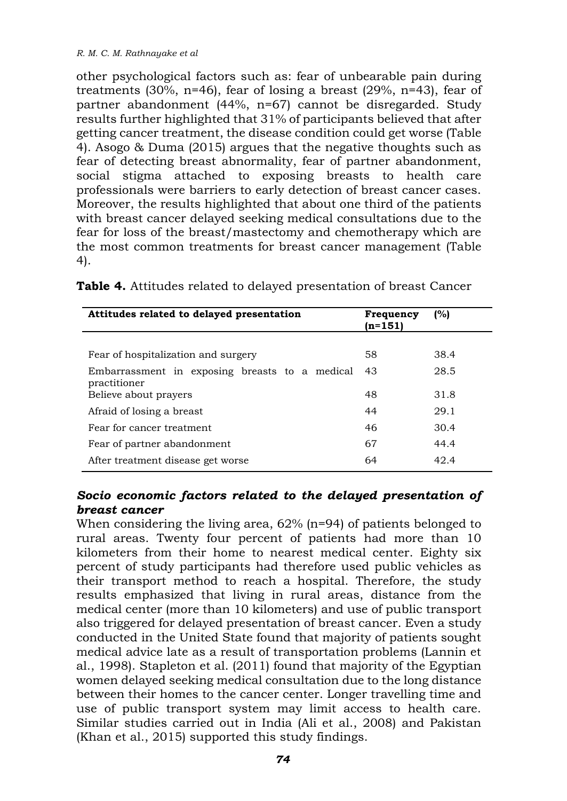other psychological factors such as: fear of unbearable pain during treatments  $(30\%$ , n=46), fear of losing a breast  $(29\%$ , n=43), fear of partner abandonment (44%, n=67) cannot be disregarded. Study results further highlighted that 31% of participants believed that after getting cancer treatment, the disease condition could get worse (Table 4). Asogo & Duma (2015) argues that the negative thoughts such as fear of detecting breast abnormality, fear of partner abandonment, social stigma attached to exposing breasts to health care professionals were barriers to early detection of breast cancer cases. Moreover, the results highlighted that about one third of the patients with breast cancer delayed seeking medical consultations due to the fear for loss of the breast/mastectomy and chemotherapy which are the most common treatments for breast cancer management (Table 4).

| Attitudes related to delayed presentation                      | Frequency<br>(n=151) | (%)  |
|----------------------------------------------------------------|----------------------|------|
|                                                                |                      |      |
| Fear of hospitalization and surgery                            | 58                   | 38.4 |
| Embarrassment in exposing breasts to a medical<br>practitioner | 43                   | 28.5 |
| Believe about prayers                                          | 48                   | 31.8 |
| Afraid of losing a breast                                      | 44                   | 29.1 |
| Fear for cancer treatment                                      | 46                   | 30.4 |
| Fear of partner abandonment                                    | 67                   | 44.4 |
| After treatment disease get worse                              | 64                   | 42.4 |

**Table 4.** Attitudes related to delayed presentation of breast Cancer

#### *Socio economic factors related to the delayed presentation of breast cancer*

When considering the living area, 62% (n=94) of patients belonged to rural areas. Twenty four percent of patients had more than 10 kilometers from their home to nearest medical center. Eighty six percent of study participants had therefore used public vehicles as their transport method to reach a hospital. Therefore, the study results emphasized that living in rural areas, distance from the medical center (more than 10 kilometers) and use of public transport also triggered for delayed presentation of breast cancer. Even a study conducted in the United State found that majority of patients sought medical advice late as a result of transportation problems (Lannin et al., 1998). Stapleton et al. (2011) found that majority of the Egyptian women delayed seeking medical consultation due to the long distance between their homes to the cancer center. Longer travelling time and use of public transport system may limit access to health care. Similar studies carried out in India (Ali et al., 2008) and Pakistan (Khan et al., 2015) supported this study findings.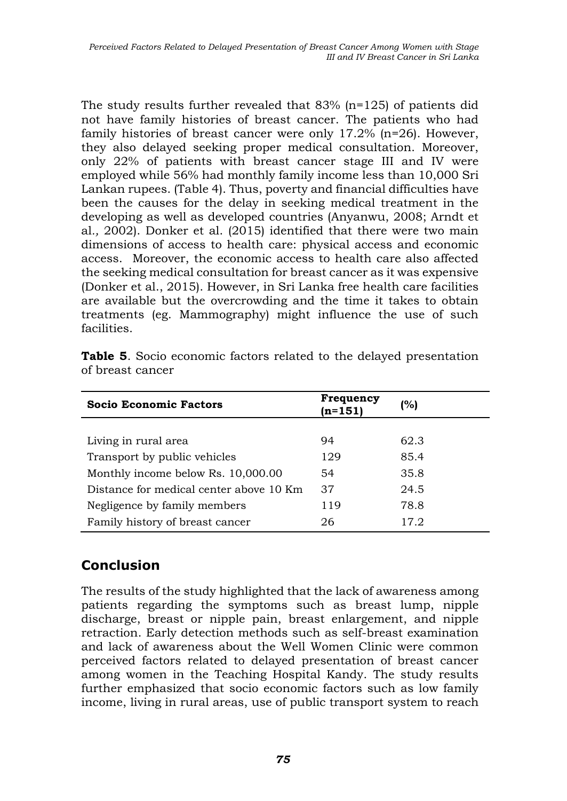The study results further revealed that  $83\%$  (n=125) of patients did not have family histories of breast cancer. The patients who had family histories of breast cancer were only 17.2% (n=26). However, they also delayed seeking proper medical consultation. Moreover, only 22% of patients with breast cancer stage III and IV were employed while 56% had monthly family income less than 10,000 Sri Lankan rupees. (Table 4). Thus, poverty and financial difficulties have been the causes for the delay in seeking medical treatment in the developing as well as developed countries (Anyanwu, 2008; Arndt et al*.,* 2002). Donker et al. (2015) identified that there were two main dimensions of access to health care: physical access and economic access. Moreover, the economic access to health care also affected the seeking medical consultation for breast cancer as it was expensive (Donker et al., 2015). However, in Sri Lanka free health care facilities are available but the overcrowding and the time it takes to obtain treatments (eg. Mammography) might influence the use of such facilities.

| <b>Socio Economic Factors</b>           | Frequency<br>(n=151) | (%)  |
|-----------------------------------------|----------------------|------|
|                                         |                      |      |
| Living in rural area                    | 94                   | 62.3 |
| Transport by public vehicles            | 129                  | 85.4 |
| Monthly income below Rs. 10,000.00      | 54                   | 35.8 |
| Distance for medical center above 10 Km | 37                   | 24.5 |
| Negligence by family members            | 119                  | 78.8 |
| Family history of breast cancer         | 26                   | 17.2 |

**Table 5**. Socio economic factors related to the delayed presentation of breast cancer

# **Conclusion**

The results of the study highlighted that the lack of awareness among patients regarding the symptoms such as breast lump, nipple discharge, breast or nipple pain, breast enlargement, and nipple retraction. Early detection methods such as self-breast examination and lack of awareness about the Well Women Clinic were common perceived factors related to delayed presentation of breast cancer among women in the Teaching Hospital Kandy. The study results further emphasized that socio economic factors such as low family income, living in rural areas, use of public transport system to reach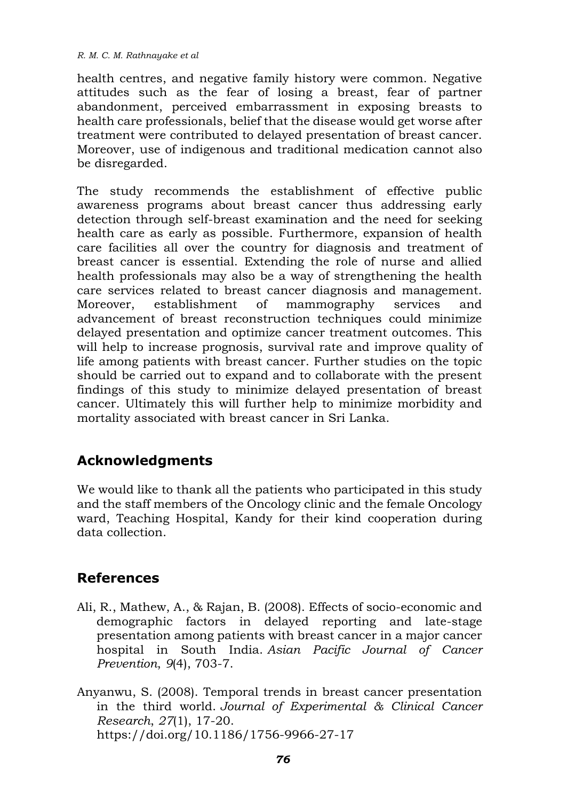health centres, and negative family history were common. Negative attitudes such as the fear of losing a breast, fear of partner abandonment, perceived embarrassment in exposing breasts to health care professionals, belief that the disease would get worse after treatment were contributed to delayed presentation of breast cancer. Moreover, use of indigenous and traditional medication cannot also be disregarded.

The study recommends the establishment of effective public awareness programs about breast cancer thus addressing early detection through self-breast examination and the need for seeking health care as early as possible. Furthermore, expansion of health care facilities all over the country for diagnosis and treatment of breast cancer is essential. Extending the role of nurse and allied health professionals may also be a way of strengthening the health care services related to breast cancer diagnosis and management. Moreover, establishment of mammography services and advancement of breast reconstruction techniques could minimize delayed presentation and optimize cancer treatment outcomes. This will help to increase prognosis, survival rate and improve quality of life among patients with breast cancer. Further studies on the topic should be carried out to expand and to collaborate with the present findings of this study to minimize delayed presentation of breast cancer. Ultimately this will further help to minimize morbidity and mortality associated with breast cancer in Sri Lanka.

## **Acknowledgments**

We would like to thank all the patients who participated in this study and the staff members of the Oncology clinic and the female Oncology ward, Teaching Hospital, Kandy for their kind cooperation during data collection.

## **References**

- Ali, R., Mathew, A., & Rajan, B. (2008). Effects of socio-economic and demographic factors in delayed reporting and late-stage presentation among patients with breast cancer in a major cancer hospital in South India. *Asian Pacific Journal of Cancer Prevention*, *9*(4), 703-7.
- Anyanwu, S. (2008). Temporal trends in breast cancer presentation in the third world. *Journal of Experimental & Clinical Cancer Research*, *27*(1), 17-20. [https://doi.org/1](https://doi.org/10.1037/arc0000014)0.1186/1756-9966-27-17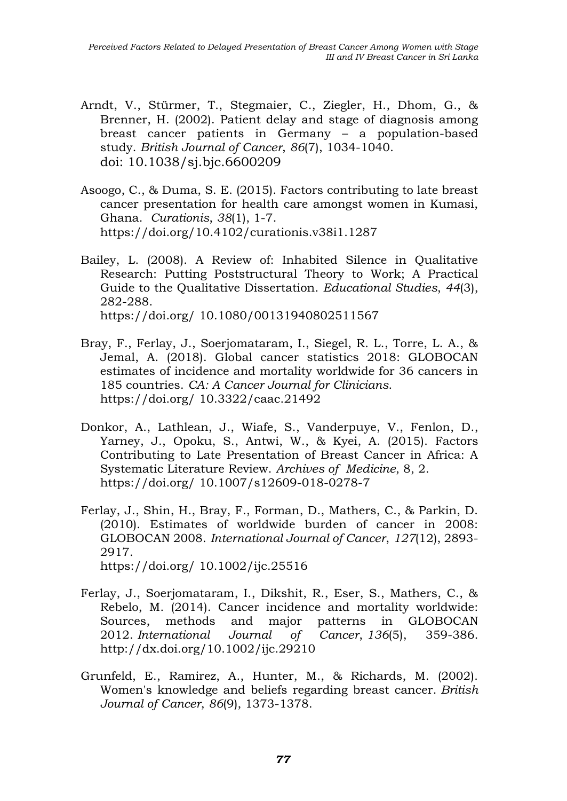- Arndt, V., Stürmer, T., Stegmaier, C., Ziegler, H., Dhom, G., & Brenner, H. (2002). Patient delay and stage of diagnosis among breast cancer patients in Germany – a population-based study. *British Journal of Cancer*, *86*(7), 1034-1040. doi: [10.1038/sj.bjc.6600209](https://dx.doi.org/10.1038%2Fsj.bjc.6600209)
- Asoogo, C., & Duma, S. E. (2015). Factors contributing to late breast cancer presentation for health care amongst women in Kumasi, Ghana. *Curationis*, *38*(1), 1-7. [https://doi.org/1](https://doi.org/10.1037/arc0000014)0.4102/curationis.v38i1.1287
- Bailey, L. (2008). A Review of: Inhabited Silence in Qualitative Research: Putting Poststructural Theory to Work; A Practical Guide to the Qualitative Dissertation. *Educational Studies*, *44*(3), 282-288. [https://doi.org/](https://doi.org/10.1037/arc0000014) 10.1080/00131940802511567
- Bray, F., Ferlay, J., Soerjomataram, I., Siegel, R. L., Torre, L. A., & Jemal, A. (2018). Global cancer statistics 2018: GLOBOCAN estimates of incidence and mortality worldwide for 36 cancers in 185 countries. *CA: A Cancer Journal for Clinicians*. [https://doi.org/](https://doi.org/10.1037/arc0000014) 10.3322/caac.21492
- Donkor, A., Lathlean, J., Wiafe, S., Vanderpuye, V., Fenlon, D., Yarney, J., Opoku, S., Antwi, W., & Kyei, A. (2015). Factors Contributing to Late Presentation of Breast Cancer in Africa: A Systematic Literature Review. *Archives of Medicine*, 8, 2. [https://doi.org/](https://doi.org/10.1037/arc0000014) 10.1007/s12609-018-0278-7
- Ferlay, J., Shin, H., Bray, F., Forman, D., Mathers, C., & Parkin, D. (2010). Estimates of worldwide burden of cancer in 2008: GLOBOCAN 2008. *International Journal of Cancer*, *127*(12), 2893- 2917. [https://doi.org/](https://doi.org/10.1037/arc0000014) 10.1002/ijc.25516
- Ferlay, J., Soerjomataram, I., Dikshit, R., Eser, S., Mathers, C., & Rebelo, M. (2014). Cancer incidence and mortality worldwide: Sources, methods and major patterns in GLOBOCAN 2012. *International Journal of Cancer*, *136*(5), 359-386. <http://dx.doi.org/10.1002/ijc.29210>
- Grunfeld, E., Ramirez, A., Hunter, M., & Richards, M. (2002). Women's knowledge and beliefs regarding breast cancer. *British Journal of Cancer*, *86*(9), 1373-1378.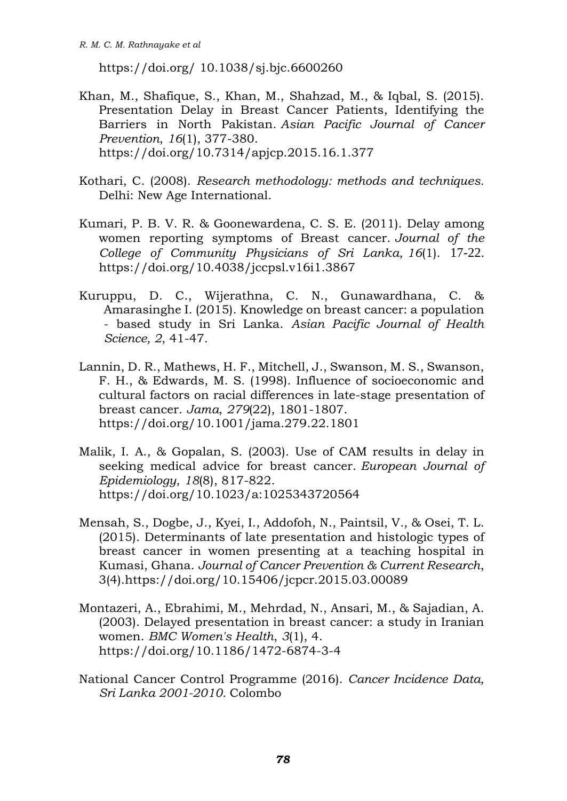https://doi.org/ 10.1038/sj.bjc.6600260

- [Khan, M., Shafiqu](https://doi.org/10.1037/arc0000014)e, S., Khan, M., Shahzad, M., & Iqbal, S. (2015). Presentation Delay in Breast Cancer Patients, Identifying the Barriers in North Pakistan. *Asian Pacific Journal of Cancer Prevention*, *16*(1), 377-380. https://doi.org/10.7314/apjcp.2015.16.1.377
- [Kothari, C. \(2008\)](https://doi.org/10.1037/arc0000014). *Research methodology: methods and techniques.* Delhi: New Age International.
- Kumari, P. B. V. R. & Goonewardena, C. S. E. (2011). Delay among women reporting symptoms of Breast cancer. *Journal of the College of Community Physicians of Sri Lanka*, *16*(1). 17-22. https://doi.org/10.4038/jccpsl.v16i1.3867
- [Kuruppu, D. C.](https://doi.org/10.1037/arc0000014), Wijerathna, C. N., Gunawardhana, C. & Amarasinghe I. (2015). Knowledge on breast cancer: a population - based study in Sri Lanka. *Asian Pacific Journal of Health Science, 2*, 41-47.
- Lannin, D. R., Mathews, H. F., Mitchell, J., Swanson, M. S., Swanson, F. H., & Edwards, M. S. (1998). Influence of socioeconomic and cultural factors on racial differences in late-stage presentation of breast cancer. *Jama*, *279*(22), 1801-1807. https://doi.org/10.1001/jama.279.22.1801
- [Malik, I. A., & Go](https://doi.org/10.1037/arc0000014)palan, S. (2003). Use of CAM results in delay in seeking medical advice for breast cancer. *European Journal of Epidemiology*, *18*(8), 817-822. https://doi.org/10.1023/a:1025343720564
- [Mensah, S., Dogbe](https://doi.org/10.1037/arc0000014), J., Kyei, I., Addofoh, N., Paintsil, V., & Osei, T. L. (2015). Determinants of late presentation and histologic types of breast cancer in women presenting at a teaching hospital in Kumasi, Ghana. *Journal of Cancer Prevention & Current Research*, 3(4).https://doi.org/10.15406/jcpcr.2015.03.00089
- Mont[azeri, A., Ebrahim](https://doi.org/)i, M., Mehrdad, N., Ansari, M., & Sajadian, A. (2003). Delayed presentation in breast cancer: a study in Iranian women. *BMC Women's Health*, *3*(1), 4. https://doi.org/10.1186/1472-6874-3-4
- [National Cancer C](https://doi.org/10.1037/arc0000014)ontrol Programme (2016). *Cancer Incidence Data, Sri Lanka 2001-2010.* Colombo